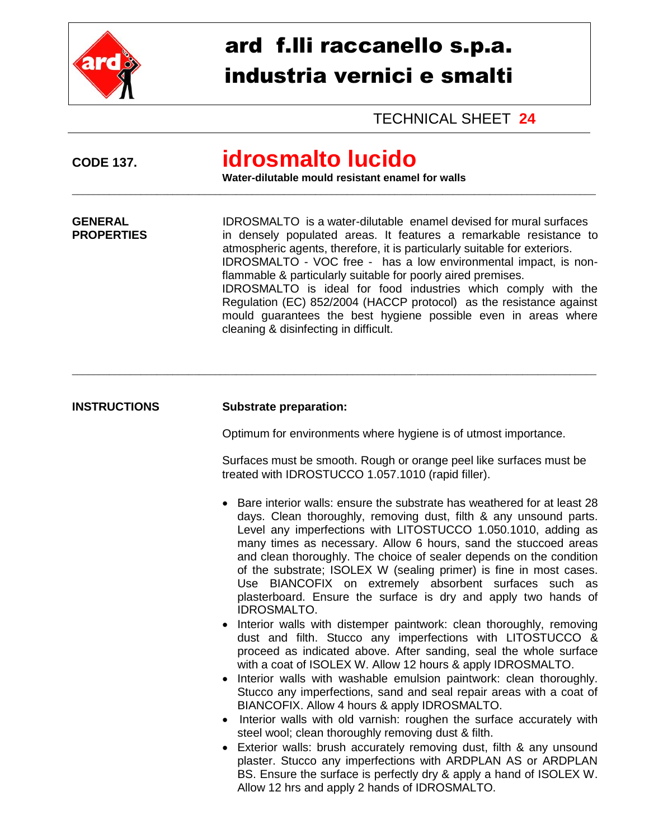

## ard f.lli raccanello s.p.a. industria vernici e smalti

**Water-dilutable mould resistant enamel for walls** \_\_\_\_\_\_\_\_\_\_\_\_\_\_\_\_\_\_\_\_\_\_\_\_\_\_\_\_\_\_\_\_\_\_\_\_\_\_\_\_\_\_\_\_\_\_\_\_\_\_\_\_\_\_\_\_\_\_\_\_\_\_\_\_\_\_\_\_\_\_\_\_\_\_\_\_\_\_\_\_\_\_\_\_\_\_\_\_\_\_\_\_\_\_\_\_\_\_\_

**GENERAL** IDROSMALTO is a water-dilutable enamel devised for mural surfaces<br> **PROPERTIES** in denselv populated areas. It features a remarkable resistance to

**CODE 137. idrosmalto lucido**

TECHNICAL SHEET **24**

in densely populated areas. It features a remarkable resistance to atmospheric agents, therefore, it is particularly suitable for exteriors. IDROSMALTO - VOC free - has a low environmental impact, is non-